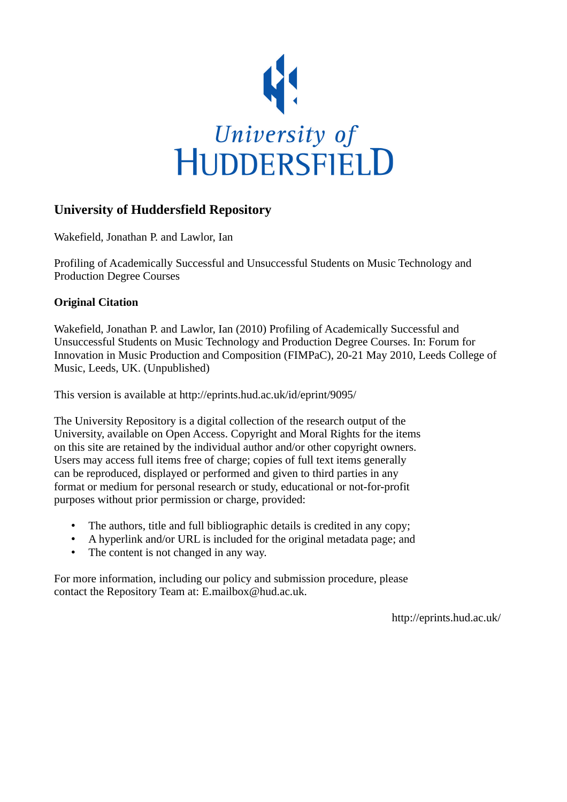

### **University of Huddersfield Repository**

Wakefield, Jonathan P. and Lawlor, Ian

Profiling of Academically Successful and Unsuccessful Students on Music Technology and Production Degree Courses

### **Original Citation**

Wakefield, Jonathan P. and Lawlor, Ian (2010) Profiling of Academically Successful and Unsuccessful Students on Music Technology and Production Degree Courses. In: Forum for Innovation in Music Production and Composition (FIMPaC), 20-21 May 2010, Leeds College of Music, Leeds, UK. (Unpublished)

This version is available at http://eprints.hud.ac.uk/id/eprint/9095/

The University Repository is a digital collection of the research output of the University, available on Open Access. Copyright and Moral Rights for the items on this site are retained by the individual author and/or other copyright owners. Users may access full items free of charge; copies of full text items generally can be reproduced, displayed or performed and given to third parties in any format or medium for personal research or study, educational or not-for-profit purposes without prior permission or charge, provided:

- The authors, title and full bibliographic details is credited in any copy;
- A hyperlink and/or URL is included for the original metadata page; and
- The content is not changed in any way.

For more information, including our policy and submission procedure, please contact the Repository Team at: E.mailbox@hud.ac.uk.

http://eprints.hud.ac.uk/